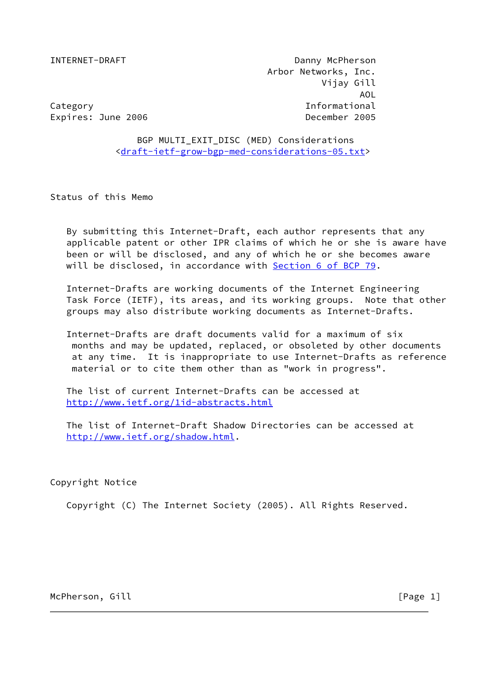INTERNET-DRAFT Danny McPherson Arbor Networks, Inc. Vijay Gill AOL Category Informational Expires: June 2006 **December 2005** 

 BGP MULTI\_EXIT\_DISC (MED) Considerations [<draft-ietf-grow-bgp-med-considerations-05.txt>](https://datatracker.ietf.org/doc/pdf/draft-ietf-grow-bgp-med-considerations-05.txt)

Status of this Memo

 By submitting this Internet-Draft, each author represents that any applicable patent or other IPR claims of which he or she is aware have been or will be disclosed, and any of which he or she becomes aware will be disclosed, in accordance with Section [6 of BCP 79](https://datatracker.ietf.org/doc/pdf/bcp79#section-6).

 Internet-Drafts are working documents of the Internet Engineering Task Force (IETF), its areas, and its working groups. Note that other groups may also distribute working documents as Internet-Drafts.

 Internet-Drafts are draft documents valid for a maximum of six months and may be updated, replaced, or obsoleted by other documents at any time. It is inappropriate to use Internet-Drafts as reference material or to cite them other than as "work in progress".

 The list of current Internet-Drafts can be accessed at <http://www.ietf.org/1id-abstracts.html>

 The list of Internet-Draft Shadow Directories can be accessed at <http://www.ietf.org/shadow.html>.

Copyright Notice

Copyright (C) The Internet Society (2005). All Rights Reserved.

McPherson, Gill **McPherson**, Gill **Example 2018** [Page 1]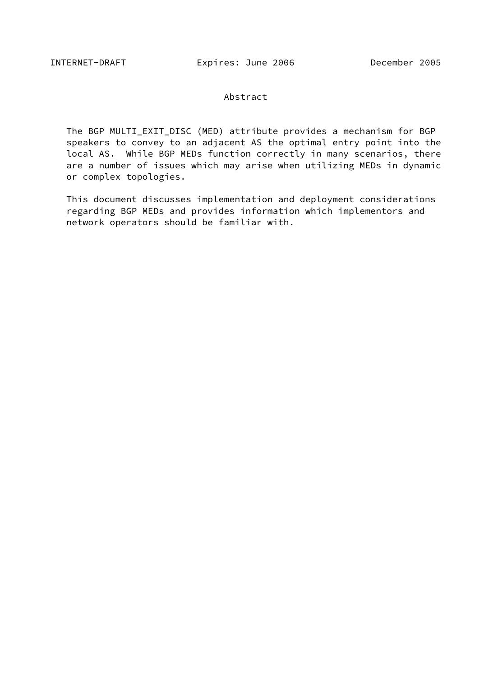### Abstract

 The BGP MULTI\_EXIT\_DISC (MED) attribute provides a mechanism for BGP speakers to convey to an adjacent AS the optimal entry point into the local AS. While BGP MEDs function correctly in many scenarios, there are a number of issues which may arise when utilizing MEDs in dynamic or complex topologies.

 This document discusses implementation and deployment considerations regarding BGP MEDs and provides information which implementors and network operators should be familiar with.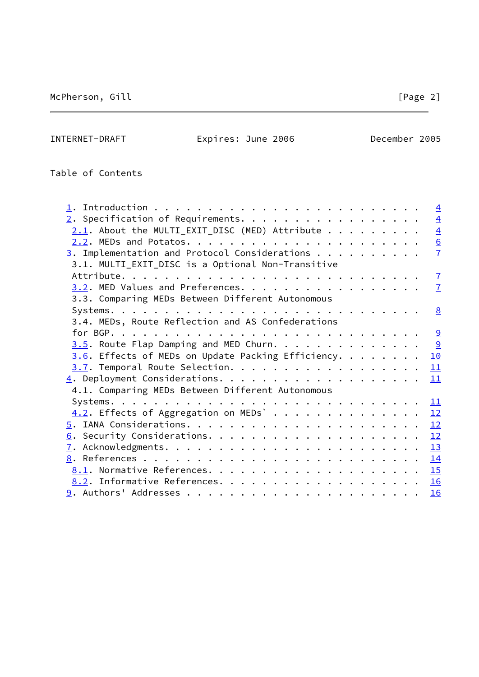INTERNET-DRAFT Expires: June 2006 December 2005

Table of Contents

|                                                            | $\overline{4}$  |
|------------------------------------------------------------|-----------------|
| $2.$ Specification of Requirements.                        | $\overline{4}$  |
| $2.1$ . About the MULTI_EXIT_DISC (MED) Attribute          | $\overline{4}$  |
|                                                            | $\underline{6}$ |
| $\frac{3}{2}$ . Implementation and Protocol Considerations | $\overline{1}$  |
| 3.1. MULTI_EXIT_DISC is a Optional Non-Transitive          |                 |
|                                                            | $\overline{1}$  |
| 3.2. MED Values and Preferences.                           | $\overline{1}$  |
| 3.3. Comparing MEDs Between Different Autonomous           |                 |
|                                                            | <u>8</u>        |
| 3.4. MEDs, Route Reflection and AS Confederations          |                 |
|                                                            |                 |
|                                                            | 9               |
| $3.6$ . Effects of MEDs on Update Packing Efficiency.      | 10              |
| 3.7. Temporal Route Selection.                             | 11              |
|                                                            | 11              |
| 4.1. Comparing MEDs Between Different Autonomous           |                 |
|                                                            | 11              |
| $\underline{4.2}$ . Effects of Aggregation on MEDs` 12     |                 |
|                                                            | 12              |
|                                                            | 12              |
|                                                            | 13              |
|                                                            | 14              |
|                                                            |                 |
|                                                            |                 |
|                                                            | 16              |
|                                                            |                 |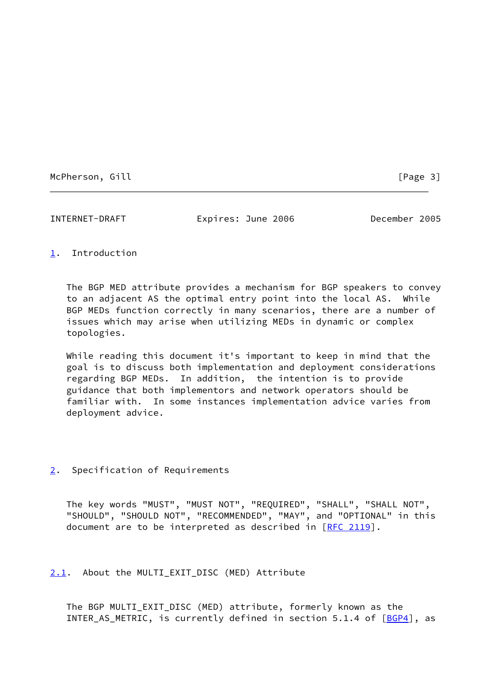McPherson, Gill **McPherson**, Gill **Example 20** 1

<span id="page-3-1"></span>INTERNET-DRAFT Expires: June 2006 December 2005

# <span id="page-3-0"></span>[1](#page-3-0). Introduction

 The BGP MED attribute provides a mechanism for BGP speakers to convey to an adjacent AS the optimal entry point into the local AS. While BGP MEDs function correctly in many scenarios, there are a number of issues which may arise when utilizing MEDs in dynamic or complex topologies.

 While reading this document it's important to keep in mind that the goal is to discuss both implementation and deployment considerations regarding BGP MEDs. In addition, the intention is to provide guidance that both implementors and network operators should be familiar with. In some instances implementation advice varies from deployment advice.

## <span id="page-3-2"></span>[2](#page-3-2). Specification of Requirements

 The key words "MUST", "MUST NOT", "REQUIRED", "SHALL", "SHALL NOT", "SHOULD", "SHOULD NOT", "RECOMMENDED", "MAY", and "OPTIONAL" in this document are to be interpreted as described in [\[RFC 2119](https://datatracker.ietf.org/doc/pdf/rfc2119)].

<span id="page-3-3"></span>[2.1](#page-3-3). About the MULTI\_EXIT\_DISC (MED) Attribute

 The BGP MULTI\_EXIT\_DISC (MED) attribute, formerly known as the INTER\_AS\_METRIC, is currently defined in section 5.1.4 of [[BGP4\]](#page-16-1), as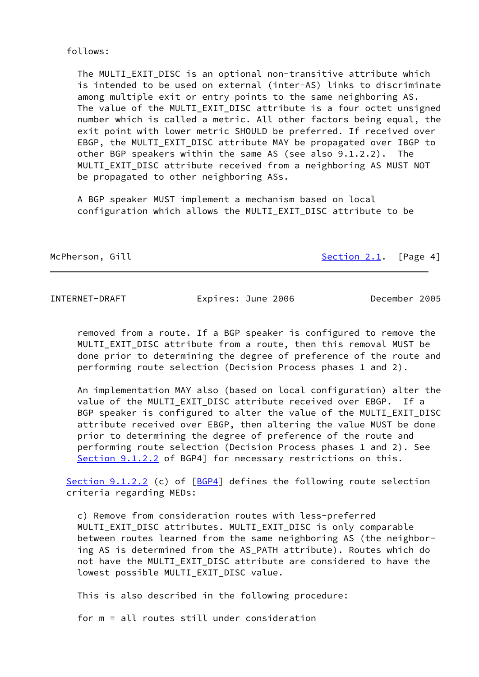### follows:

The MULTI EXIT DISC is an optional non-transitive attribute which is intended to be used on external (inter-AS) links to discriminate among multiple exit or entry points to the same neighboring AS. The value of the MULTI\_EXIT\_DISC attribute is a four octet unsigned number which is called a metric. All other factors being equal, the exit point with lower metric SHOULD be preferred. If received over EBGP, the MULTI\_EXIT\_DISC attribute MAY be propagated over IBGP to other BGP speakers within the same AS (see also 9.1.2.2). The MULTI\_EXIT\_DISC attribute received from a neighboring AS MUST NOT be propagated to other neighboring ASs.

 A BGP speaker MUST implement a mechanism based on local configuration which allows the MULTI\_EXIT\_DISC attribute to be

McPherson, Gill [Section 2.1](#page-3-3). [Page 4]

INTERNET-DRAFT Expires: June 2006 December 2005

 removed from a route. If a BGP speaker is configured to remove the MULTI EXIT DISC attribute from a route, then this removal MUST be done prior to determining the degree of preference of the route and performing route selection (Decision Process phases 1 and 2).

 An implementation MAY also (based on local configuration) alter the value of the MULTI\_EXIT\_DISC attribute received over EBGP. If a BGP speaker is configured to alter the value of the MULTI\_EXIT\_DISC attribute received over EBGP, then altering the value MUST be done prior to determining the degree of preference of the route and performing route selection (Decision Process phases 1 and 2). See Section 9.1.2.2 of BGP4] for necessary restrictions on this.

Section 9.1.2.2 (c) of [\[BGP4](#page-16-1)] defines the following route selection criteria regarding MEDs:

 c) Remove from consideration routes with less-preferred MULTI\_EXIT\_DISC attributes. MULTI\_EXIT\_DISC is only comparable between routes learned from the same neighboring AS (the neighbor ing AS is determined from the AS\_PATH attribute). Routes which do not have the MULTI EXIT DISC attribute are considered to have the lowest possible MULTI\_EXIT\_DISC value.

This is also described in the following procedure:

for m = all routes still under consideration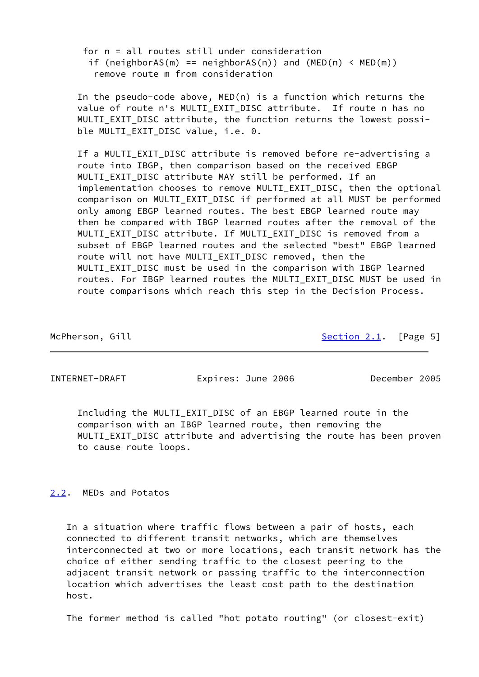for n = all routes still under consideration if (neighborAS(m) == neighborAS(n)) and  $(MED(n) < MED(m))$ remove route m from consideration

 In the pseudo-code above, MED(n) is a function which returns the value of route n's MULTI EXIT DISC attribute. If route n has no MULTI\_EXIT\_DISC attribute, the function returns the lowest possi ble MULTI\_EXIT\_DISC value, i.e. 0.

 If a MULTI\_EXIT\_DISC attribute is removed before re-advertising a route into IBGP, then comparison based on the received EBGP MULTI\_EXIT\_DISC attribute MAY still be performed. If an implementation chooses to remove MULTI EXIT DISC, then the optional comparison on MULTI\_EXIT\_DISC if performed at all MUST be performed only among EBGP learned routes. The best EBGP learned route may then be compared with IBGP learned routes after the removal of the MULTI EXIT DISC attribute. If MULTI EXIT DISC is removed from a subset of EBGP learned routes and the selected "best" EBGP learned route will not have MULTI EXIT DISC removed, then the MULTI EXIT DISC must be used in the comparison with IBGP learned routes. For IBGP learned routes the MULTI\_EXIT\_DISC MUST be used in route comparisons which reach this step in the Decision Process.

McPherson, Gill [Section 2.1](#page-3-3). [Page 5]

<span id="page-5-1"></span>INTERNET-DRAFT Expires: June 2006 December 2005

 Including the MULTI\_EXIT\_DISC of an EBGP learned route in the comparison with an IBGP learned route, then removing the MULTI\_EXIT\_DISC attribute and advertising the route has been proven to cause route loops.

# <span id="page-5-0"></span>[2.2](#page-5-0). MEDs and Potatos

 In a situation where traffic flows between a pair of hosts, each connected to different transit networks, which are themselves interconnected at two or more locations, each transit network has the choice of either sending traffic to the closest peering to the adjacent transit network or passing traffic to the interconnection location which advertises the least cost path to the destination host.

The former method is called "hot potato routing" (or closest-exit)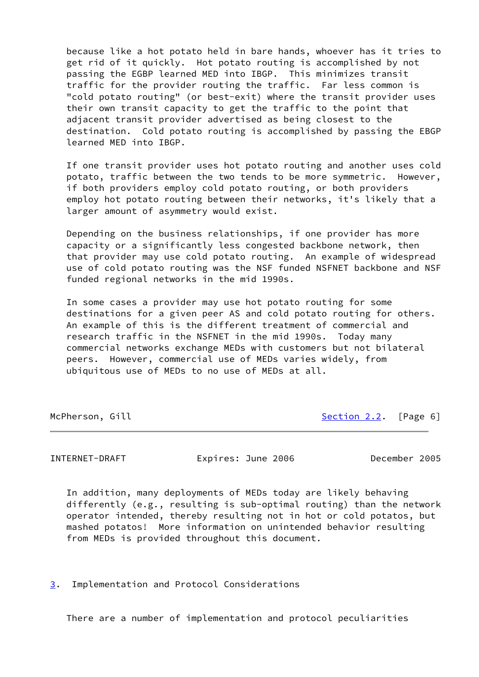because like a hot potato held in bare hands, whoever has it tries to get rid of it quickly. Hot potato routing is accomplished by not passing the EGBP learned MED into IBGP. This minimizes transit traffic for the provider routing the traffic. Far less common is "cold potato routing" (or best-exit) where the transit provider uses their own transit capacity to get the traffic to the point that adiacent transit provider advertised as being closest to the destination. Cold potato routing is accomplished by passing the EBGP learned MED into IBGP.

 If one transit provider uses hot potato routing and another uses cold potato, traffic between the two tends to be more symmetric. However, if both providers employ cold potato routing, or both providers employ hot potato routing between their networks, it's likely that a larger amount of asymmetry would exist.

 Depending on the business relationships, if one provider has more capacity or a significantly less congested backbone network, then that provider may use cold potato routing. An example of widespread use of cold potato routing was the NSF funded NSFNET backbone and NSF funded regional networks in the mid 1990s.

 In some cases a provider may use hot potato routing for some destinations for a given peer AS and cold potato routing for others. An example of this is the different treatment of commercial and research traffic in the NSFNET in the mid 1990s. Today many commercial networks exchange MEDs with customers but not bilateral peers. However, commercial use of MEDs varies widely, from ubiquitous use of MEDs to no use of MEDs at all.

McPherson, Gill [Section 2.2](#page-5-0). [Page 6]

<span id="page-6-1"></span>INTERNET-DRAFT Expires: June 2006 December 2005

 In addition, many deployments of MEDs today are likely behaving differently (e.g., resulting is sub-optimal routing) than the network operator intended, thereby resulting not in hot or cold potatos, but mashed potatos! More information on unintended behavior resulting from MEDs is provided throughout this document.

<span id="page-6-0"></span>[3](#page-6-0). Implementation and Protocol Considerations

There are a number of implementation and protocol peculiarities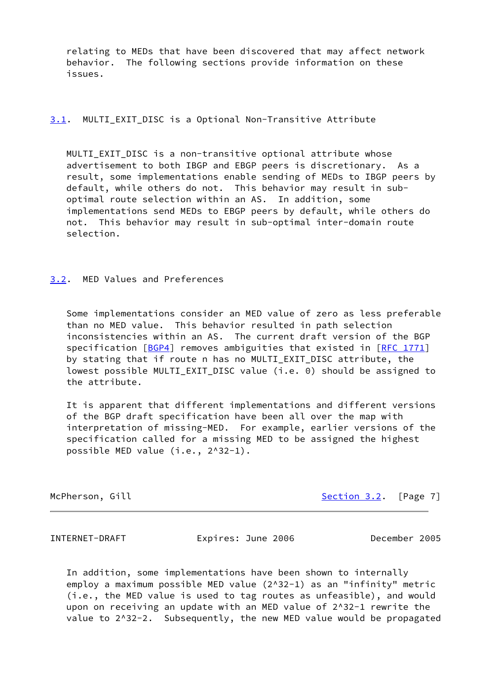relating to MEDs that have been discovered that may affect network behavior. The following sections provide information on these issues.

## <span id="page-7-2"></span>[3.1](#page-7-2). MULTI\_EXIT\_DISC is a Optional Non-Transitive Attribute

MULTI EXIT DISC is a non-transitive optional attribute whose advertisement to both IBGP and EBGP peers is discretionary. As a result, some implementations enable sending of MEDs to IBGP peers by default, while others do not. This behavior may result in sub optimal route selection within an AS. In addition, some implementations send MEDs to EBGP peers by default, while others do not. This behavior may result in sub-optimal inter-domain route selection.

### <span id="page-7-0"></span>[3.2](#page-7-0). MED Values and Preferences

 Some implementations consider an MED value of zero as less preferable than no MED value. This behavior resulted in path selection inconsistencies within an AS. The current draft version of the BGP specification  $[BGP4]$  $[BGP4]$  removes ambiguities that existed in  $[RFC 1771]$  $[RFC 1771]$  by stating that if route n has no MULTI\_EXIT\_DISC attribute, the lowest possible MULTI\_EXIT\_DISC value (i.e. 0) should be assigned to the attribute.

 It is apparent that different implementations and different versions of the BGP draft specification have been all over the map with interpretation of missing-MED. For example, earlier versions of the specification called for a missing MED to be assigned the highest possible MED value (i.e., 2^32-1).

McPherson, Gill [Section 3.2](#page-7-0). [Page 7]

<span id="page-7-1"></span>INTERNET-DRAFT Expires: June 2006 December 2005

 In addition, some implementations have been shown to internally employ a maximum possible MED value (2^32-1) as an "infinity" metric (i.e., the MED value is used to tag routes as unfeasible), and would upon on receiving an update with an MED value of 2^32-1 rewrite the value to 2^32-2. Subsequently, the new MED value would be propagated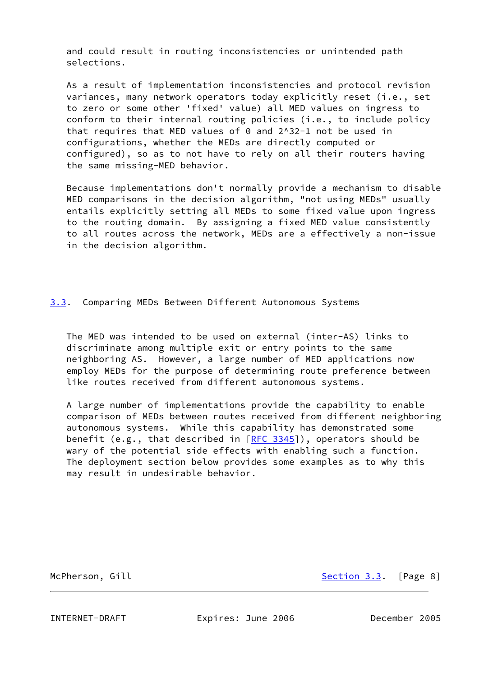and could result in routing inconsistencies or unintended path selections.

 As a result of implementation inconsistencies and protocol revision variances, many network operators today explicitly reset (i.e., set to zero or some other 'fixed' value) all MED values on ingress to conform to their internal routing policies (i.e., to include policy that requires that MED values of 0 and 2^32-1 not be used in configurations, whether the MEDs are directly computed or configured), so as to not have to rely on all their routers having the same missing-MED behavior.

 Because implementations don't normally provide a mechanism to disable MED comparisons in the decision algorithm, "not using MEDs" usually entails explicitly setting all MEDs to some fixed value upon ingress to the routing domain. By assigning a fixed MED value consistently to all routes across the network, MEDs are a effectively a non-issue in the decision algorithm.

## <span id="page-8-1"></span>[3.3](#page-8-1). Comparing MEDs Between Different Autonomous Systems

 The MED was intended to be used on external (inter-AS) links to discriminate among multiple exit or entry points to the same neighboring AS. However, a large number of MED applications now employ MEDs for the purpose of determining route preference between like routes received from different autonomous systems.

 A large number of implementations provide the capability to enable comparison of MEDs between routes received from different neighboring autonomous systems. While this capability has demonstrated some benefit (e.g., that described in [\[RFC 3345](https://datatracker.ietf.org/doc/pdf/rfc3345)]), operators should be wary of the potential side effects with enabling such a function. The deployment section below provides some examples as to why this may result in undesirable behavior.

McPherson, Gill [Section 3.3](#page-8-1). [Page 8]

<span id="page-8-0"></span>INTERNET-DRAFT Expires: June 2006 December 2005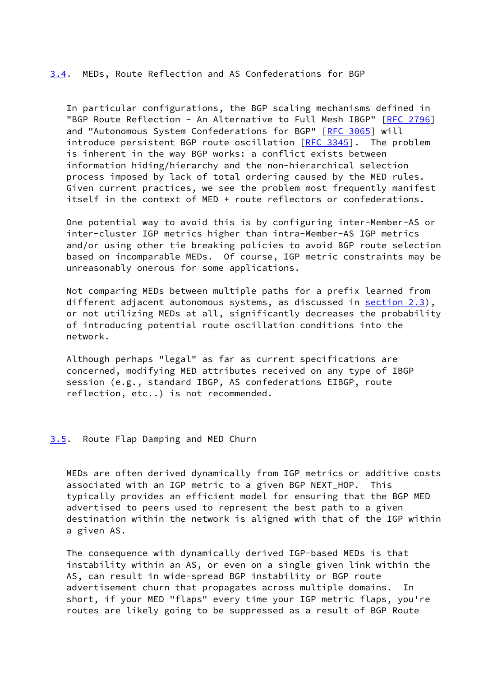### <span id="page-9-1"></span>[3.4](#page-9-1). MEDs, Route Reflection and AS Confederations for BGP

 In particular configurations, the BGP scaling mechanisms defined in "BGP Route Reflection - An Alternative to Full Mesh IBGP" [[RFC 2796\]](https://datatracker.ietf.org/doc/pdf/rfc2796) and "Autonomous System Confederations for BGP" [\[RFC 3065](https://datatracker.ietf.org/doc/pdf/rfc3065)] will introduce persistent BGP route oscillation [[RFC 3345\]](https://datatracker.ietf.org/doc/pdf/rfc3345). The problem is inherent in the way BGP works: a conflict exists between information hiding/hierarchy and the non-hierarchical selection process imposed by lack of total ordering caused by the MED rules. Given current practices, we see the problem most frequently manifest itself in the context of MED + route reflectors or confederations.

 One potential way to avoid this is by configuring inter-Member-AS or inter-cluster IGP metrics higher than intra-Member-AS IGP metrics and/or using other tie breaking policies to avoid BGP route selection based on incomparable MEDs. Of course, IGP metric constraints may be unreasonably onerous for some applications.

 Not comparing MEDs between multiple paths for a prefix learned from different adjacent autonomous systems, as discussed in section 2.3), or not utilizing MEDs at all, significantly decreases the probability of introducing potential route oscillation conditions into the network.

 Although perhaps "legal" as far as current specifications are concerned, modifying MED attributes received on any type of IBGP session (e.g., standard IBGP, AS confederations EIBGP, route reflection, etc..) is not recommended.

### <span id="page-9-0"></span>[3.5](#page-9-0). Route Flap Damping and MED Churn

 MEDs are often derived dynamically from IGP metrics or additive costs associated with an IGP metric to a given BGP NEXT\_HOP. This typically provides an efficient model for ensuring that the BGP MED advertised to peers used to represent the best path to a given destination within the network is aligned with that of the IGP within a given AS.

 The consequence with dynamically derived IGP-based MEDs is that instability within an AS, or even on a single given link within the AS, can result in wide-spread BGP instability or BGP route advertisement churn that propagates across multiple domains. In short, if your MED "flaps" every time your IGP metric flaps, you're routes are likely going to be suppressed as a result of BGP Route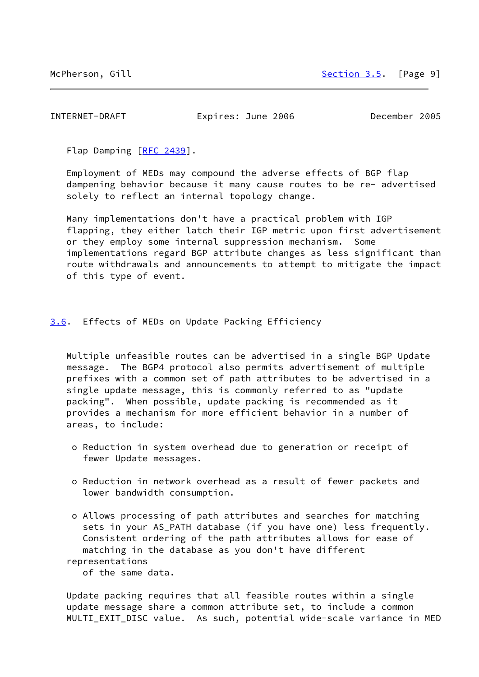<span id="page-10-1"></span>INTERNET-DRAFT Expires: June 2006 December 2005

Flap Damping [\[RFC 2439](https://datatracker.ietf.org/doc/pdf/rfc2439)].

 Employment of MEDs may compound the adverse effects of BGP flap dampening behavior because it many cause routes to be re- advertised solely to reflect an internal topology change.

 Many implementations don't have a practical problem with IGP flapping, they either latch their IGP metric upon first advertisement or they employ some internal suppression mechanism. Some implementations regard BGP attribute changes as less significant than route withdrawals and announcements to attempt to mitigate the impact of this type of event.

<span id="page-10-0"></span>[3.6](#page-10-0). Effects of MEDs on Update Packing Efficiency

 Multiple unfeasible routes can be advertised in a single BGP Update message. The BGP4 protocol also permits advertisement of multiple prefixes with a common set of path attributes to be advertised in a single update message, this is commonly referred to as "update packing". When possible, update packing is recommended as it provides a mechanism for more efficient behavior in a number of areas, to include:

- o Reduction in system overhead due to generation or receipt of fewer Update messages.
- o Reduction in network overhead as a result of fewer packets and lower bandwidth consumption.

 o Allows processing of path attributes and searches for matching sets in your AS\_PATH database (if you have one) less frequently. Consistent ordering of the path attributes allows for ease of matching in the database as you don't have different representations

of the same data.

 Update packing requires that all feasible routes within a single update message share a common attribute set, to include a common MULTI\_EXIT\_DISC value. As such, potential wide-scale variance in MED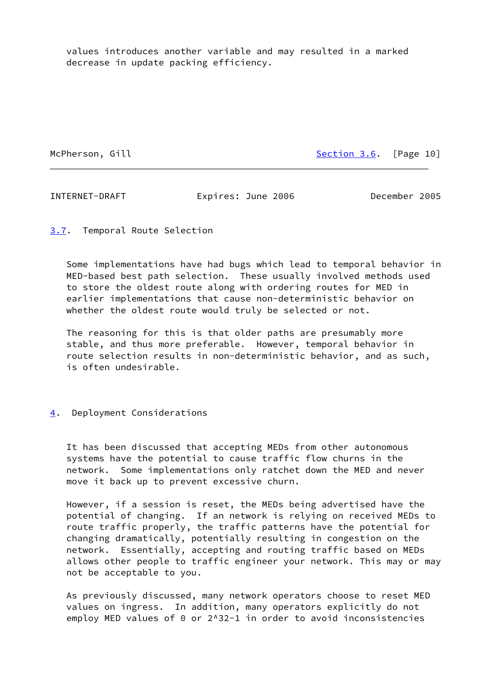values introduces another variable and may resulted in a marked decrease in update packing efficiency.

McPherson, Gill [Section 3.6](#page-10-0). [Page 10]

<span id="page-11-1"></span>INTERNET-DRAFT Expires: June 2006 December 2005

<span id="page-11-0"></span>[3.7](#page-11-0). Temporal Route Selection

 Some implementations have had bugs which lead to temporal behavior in MED-based best path selection. These usually involved methods used to store the oldest route along with ordering routes for MED in earlier implementations that cause non-deterministic behavior on whether the oldest route would truly be selected or not.

 The reasoning for this is that older paths are presumably more stable, and thus more preferable. However, temporal behavior in route selection results in non-deterministic behavior, and as such, is often undesirable.

# <span id="page-11-2"></span>[4](#page-11-2). Deployment Considerations

 It has been discussed that accepting MEDs from other autonomous systems have the potential to cause traffic flow churns in the network. Some implementations only ratchet down the MED and never move it back up to prevent excessive churn.

 However, if a session is reset, the MEDs being advertised have the potential of changing. If an network is relying on received MEDs to route traffic properly, the traffic patterns have the potential for changing dramatically, potentially resulting in congestion on the network. Essentially, accepting and routing traffic based on MEDs allows other people to traffic engineer your network. This may or may not be acceptable to you.

 As previously discussed, many network operators choose to reset MED values on ingress. In addition, many operators explicitly do not employ MED values of  $\theta$  or  $2^{\wedge}32-1$  in order to avoid inconsistencies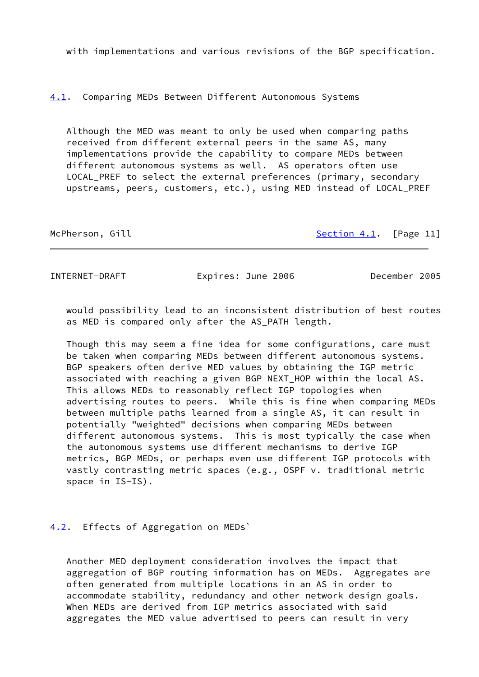with implementations and various revisions of the BGP specification.

<span id="page-12-2"></span>[4.1](#page-12-2). Comparing MEDs Between Different Autonomous Systems

 Although the MED was meant to only be used when comparing paths received from different external peers in the same AS, many implementations provide the capability to compare MEDs between different autonomous systems as well. AS operators often use LOCAL\_PREF to select the external preferences (primary, secondary upstreams, peers, customers, etc.), using MED instead of LOCAL\_PREF

| McPherson, | Gill |  |
|------------|------|--|

Section  $4.1$ . [Page 11]

<span id="page-12-1"></span>INTERNET-DRAFT Expires: June 2006 December 2005

 would possibility lead to an inconsistent distribution of best routes as MED is compared only after the AS\_PATH length.

 Though this may seem a fine idea for some configurations, care must be taken when comparing MEDs between different autonomous systems. BGP speakers often derive MED values by obtaining the IGP metric associated with reaching a given BGP NEXT HOP within the local AS. This allows MEDs to reasonably reflect IGP topologies when advertising routes to peers. While this is fine when comparing MEDs between multiple paths learned from a single AS, it can result in potentially "weighted" decisions when comparing MEDs between different autonomous systems. This is most typically the case when the autonomous systems use different mechanisms to derive IGP metrics, BGP MEDs, or perhaps even use different IGP protocols with vastly contrasting metric spaces (e.g., OSPF v. traditional metric space in IS-IS).

# <span id="page-12-0"></span>[4.2](#page-12-0). Effects of Aggregation on MEDs`

 Another MED deployment consideration involves the impact that aggregation of BGP routing information has on MEDs. Aggregates are often generated from multiple locations in an AS in order to accommodate stability, redundancy and other network design goals. When MEDs are derived from IGP metrics associated with said aggregates the MED value advertised to peers can result in very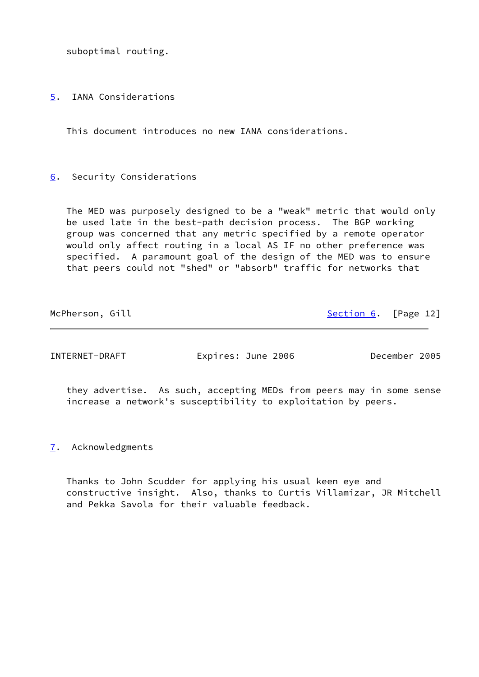suboptimal routing.

<span id="page-13-0"></span>[5](#page-13-0). IANA Considerations

This document introduces no new IANA considerations.

# <span id="page-13-1"></span>[6](#page-13-1). Security Considerations

 The MED was purposely designed to be a "weak" metric that would only be used late in the best-path decision process. The BGP working group was concerned that any metric specified by a remote operator would only affect routing in a local AS IF no other preference was specified. A paramount goal of the design of the MED was to ensure that peers could not "shed" or "absorb" traffic for networks that

McPherson, Gill [Section 6](#page-13-1). [Page 12]

<span id="page-13-3"></span>INTERNET-DRAFT Expires: June 2006 December 2005

 they advertise. As such, accepting MEDs from peers may in some sense increase a network's susceptibility to exploitation by peers.

<span id="page-13-2"></span>[7](#page-13-2). Acknowledgments

 Thanks to John Scudder for applying his usual keen eye and constructive insight. Also, thanks to Curtis Villamizar, JR Mitchell and Pekka Savola for their valuable feedback.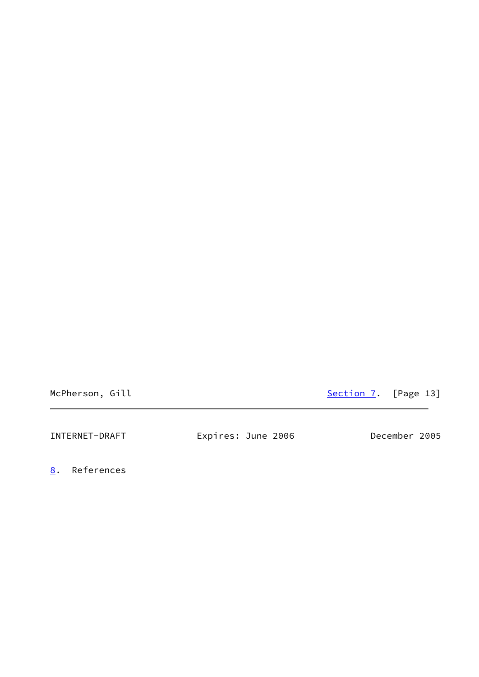McPherson, Gill [Section 7](#page-13-2). [Page 13]

<span id="page-14-1"></span>

| December 2005<br>Expires: June 2006<br>INTERNET-DRAFT |  |  |
|-------------------------------------------------------|--|--|
|-------------------------------------------------------|--|--|

<span id="page-14-0"></span>[8](#page-14-0). References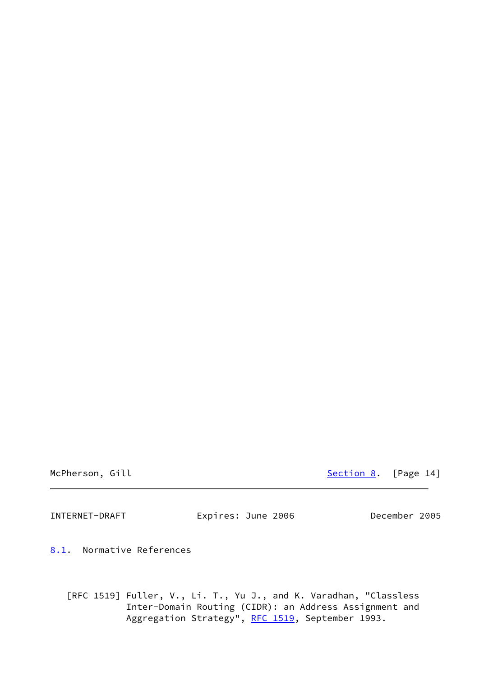McPherson, Gill [Section 8](#page-14-0). [Page 14]

<span id="page-15-1"></span>INTERNET-DRAFT Expires: June 2006 December 2005

<span id="page-15-0"></span>[8.1](#page-15-0). Normative References

 [RFC 1519] Fuller, V., Li. T., Yu J., and K. Varadhan, "Classless Inter-Domain Routing (CIDR): an Address Assignment and Aggregation Strategy", [RFC 1519](https://datatracker.ietf.org/doc/pdf/rfc1519), September 1993.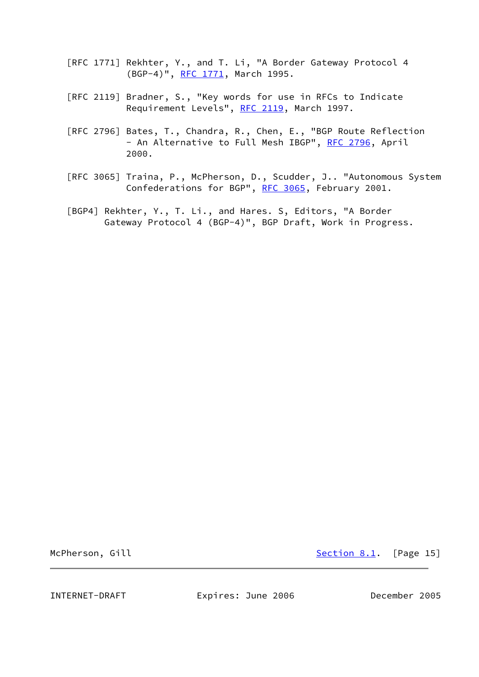- [RFC 1771] Rekhter, Y., and T. Li, "A Border Gateway Protocol 4 (BGP-4)", [RFC 1771](https://datatracker.ietf.org/doc/pdf/rfc1771), March 1995.
- [RFC 2119] Bradner, S., "Key words for use in RFCs to Indicate Requirement Levels", [RFC 2119](https://datatracker.ietf.org/doc/pdf/rfc2119), March 1997.
- [RFC 2796] Bates, T., Chandra, R., Chen, E., "BGP Route Reflection - An Alternative to Full Mesh IBGP", [RFC 2796](https://datatracker.ietf.org/doc/pdf/rfc2796), April 2000.
- [RFC 3065] Traina, P., McPherson, D., Scudder, J.. "Autonomous System Confederations for BGP", [RFC 3065,](https://datatracker.ietf.org/doc/pdf/rfc3065) February 2001.
- <span id="page-16-1"></span> [BGP4] Rekhter, Y., T. Li., and Hares. S, Editors, "A Border Gateway Protocol 4 (BGP-4)", BGP Draft, Work in Progress.

McPherson, Gill [Section 8.1](#page-15-0). [Page 15]

<span id="page-16-0"></span>INTERNET-DRAFT Expires: June 2006 December 2005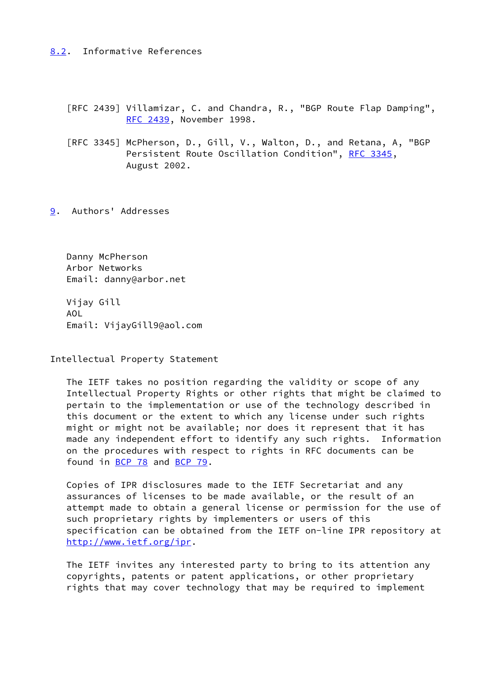# <span id="page-17-0"></span>[8.2](#page-17-0). Informative References

 [RFC 2439] Villamizar, C. and Chandra, R., "BGP Route Flap Damping", [RFC 2439,](https://datatracker.ietf.org/doc/pdf/rfc2439) November 1998.

 [RFC 3345] McPherson, D., Gill, V., Walton, D., and Retana, A, "BGP Persistent Route Oscillation Condition", [RFC 3345,](https://datatracker.ietf.org/doc/pdf/rfc3345) August 2002.

<span id="page-17-1"></span>[9](#page-17-1). Authors' Addresses

 Danny McPherson Arbor Networks Email: danny@arbor.net

 Vijay Gill AOL Email: VijayGill9@aol.com

Intellectual Property Statement

 The IETF takes no position regarding the validity or scope of any Intellectual Property Rights or other rights that might be claimed to pertain to the implementation or use of the technology described in this document or the extent to which any license under such rights might or might not be available; nor does it represent that it has made any independent effort to identify any such rights. Information on the procedures with respect to rights in RFC documents can be found in [BCP 78](https://datatracker.ietf.org/doc/pdf/bcp78) and [BCP 79](https://datatracker.ietf.org/doc/pdf/bcp79).

 Copies of IPR disclosures made to the IETF Secretariat and any assurances of licenses to be made available, or the result of an attempt made to obtain a general license or permission for the use of such proprietary rights by implementers or users of this specification can be obtained from the IETF on-line IPR repository at <http://www.ietf.org/ipr>.

 The IETF invites any interested party to bring to its attention any copyrights, patents or patent applications, or other proprietary rights that may cover technology that may be required to implement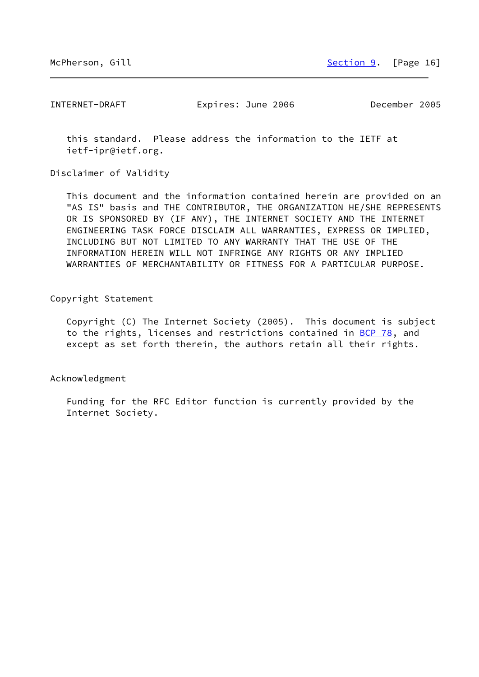INTERNET-DRAFT Expires: June 2006 December 2005

 this standard. Please address the information to the IETF at ietf-ipr@ietf.org.

Disclaimer of Validity

 This document and the information contained herein are provided on an "AS IS" basis and THE CONTRIBUTOR, THE ORGANIZATION HE/SHE REPRESENTS OR IS SPONSORED BY (IF ANY), THE INTERNET SOCIETY AND THE INTERNET ENGINEERING TASK FORCE DISCLAIM ALL WARRANTIES, EXPRESS OR IMPLIED, INCLUDING BUT NOT LIMITED TO ANY WARRANTY THAT THE USE OF THE INFORMATION HEREIN WILL NOT INFRINGE ANY RIGHTS OR ANY IMPLIED WARRANTIES OF MERCHANTABILITY OR FITNESS FOR A PARTICULAR PURPOSE.

Copyright Statement

 Copyright (C) The Internet Society (2005). This document is subject to the rights, licenses and restrictions contained in [BCP 78](https://datatracker.ietf.org/doc/pdf/bcp78), and except as set forth therein, the authors retain all their rights.

Acknowledgment

 Funding for the RFC Editor function is currently provided by the Internet Society.